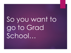# So you want to go to Grad School…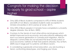# Congrats for making the decision to apply to grad school – aspire higher

- ▶ Only 25% of Black students compared to 47% of White students and 60% of non-Black, racialized students were accepted to Ontario Universities in 2015 (James & Turner, 2017).
- ▶ Only 25% of Black people in Canada have completed a university degree (Abada, Hou & Ram, 2009).
- ▶ Contrary to the trends of most other ethno-racial groups which exhibit improved socio-economic and educational wellbeing with each successive generation in Canada post-migration, African diasporic communities do not exceed the level of education or socio-economic welfare of their fore-parents (Abada, Hou & Ram, 2009) due in large part to systemic anti-Black racism.
- In considering a graduate school education, you are bucking a trend, confronting stereotypes, and forging your future.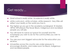## Get ready…

- Grad school is really white. Academia is really white.
- white curriculum, white scholars, white research. Very little will reflect your reality or the world you live in.
- $\triangleright$  The higher-up you go in the academy (undergrad  $\rightarrow$  Masters →PhD →Professor) the fewer Black, Indigenous and racialized people you will see.
- ▶ You will have to carve out space for yourself and the scholarship you wish to do for the communities you wish to work with
- You are your own biggest advocate for the education you receive.
- Universities across this country are under pressure to encourage diversity, and make room for Black, Indigenous and racialized people.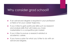## Why consider grad school?

- $\blacktriangleright$  If an advanced degree is required in your profession or field or for your career trajectory.
- If you'd like to gain particular skills such as research and analysis skills that will make you more marketable in a competitive job market.
- If you'd like to pursue a research-related or academic career.
- If you have a plan for what you'd like to do with an advanced degree.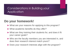#### Considerations in Building your **Application**

## **Do your homework!**

- ▶ What are your reasons for applying to this program?
- ▶ What academic benefits do they offer?
- What are they training their students for, and does it fit your career goals?
- ▶ Who are the faculty members you are interested in, and does their research interest match yours?
- Does your research interests align with the program?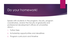#### Do your homework!

Speak with students in the program, faculty, program coordinators, and/or the faculty of graduate and professional development offices at universities about…

- 1. Tuition fees
- 2. Scholarship opportunities and deadlines
- 3. Program curriculum and timeline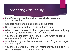#### Connecting with Faculty

- ▶ Identify faculty members who share similar research interests to yours.
- ▶ Connect with them (email, phone, or in person)
- ▶ Discuss your research interests and passions
- ▶ Why you are interested in the program and ask any clarifying questions you may have about the program.
- ▶ You should connect their work with yours, which suggests why you want to work with them
- che their colleagues! ▶ Give the faculty member a reason to vouch for you amongst
- $\triangleright$  You should mention 1 3 faculty members you'd like to work with from a given program in your application.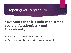#### Preparing your application

# **Your Application is a Reflection of who you are: Academically and Professionally**

- Sets the tone of your scholarly work
- Gives others a glimpse into the experience you have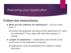#### Preparing your application

#### **Follow the instructions**

- **What are the criteria's for admission?**  Do you meet them ?
	- *Contact the graduate secretary at the department to "seek to understand" if you align with what the program is asking.*
- ▶ Length of statements Understand and commit to the word count of the statement of interest.
- word count of the ▶ Applications may be disqualified for inability to follow directions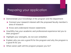#### Preparing your application

- Demonstrate your knowledge of the program and the department
	- ▶ Connect your research interest with the proposed faculty member's area of research
	- $\triangleright$  Know and understand mission statements
- How/Why has your academic and professional experience led you to their program?
- Highlight your strengths, do not over embellish.
- Explain why you are a good fit for the program and why the program is<br>a good fit for you a good fit for you
- Mhat career path will the program prepare you for?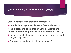#### References / Reference Letters

**Stay in contact with previous professors**

- Include them in your academic/professional network.
- **Keep professors up to date on your academic and professional development (Linkedin, facebook, etc…)**
	- ▶ Pay attention to the required amount of references needed for your application
	- ▶ Do you also need a professional reference?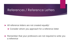#### References / Reference Letters

- All reference letters are not created equally!
	- ▶ Consider whom you approach for a reference letter
- Remember that your professors are not required to write you a reference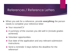## References / Reference Letters

- When you ask for a reference, provide **everything** the person needs to complete your reference letter
	- ▶ Your resume/CV
	- A summary of the courses you did well in (include grades achieved)
	- Volunteer opportunities
	- instructions. ▶ Due date of the application and any relevant submission
	- ▶ Send a reminder 3 days before the deadline for the reference!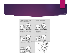

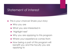#### Statement of Interest

- **This is your chance! Share your story:** 
	- ▶ Who you are
	- What you are interested in
	- 'Highlight reel'
	- ▶ Why you are applying to this program
	- ▶ Where your experience comes from
	- How being a part of this program will benefit you and the faculty you are applying to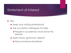#### Statement of Interest

#### $\blacktriangleright$  Tips:

- Keep your writing professional
- Ask successful colleagues for help
	- People in academics have done this before!
- Spell check, grammar, repeat!
	- Have someone proofread